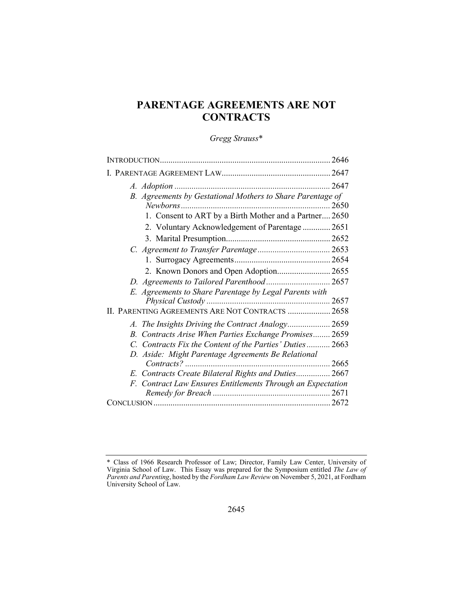# **PARENTAGE AGREEMENTS ARE NOT CONTRACTS**

# *Gregg Strauss*\*

| B. Agreements by Gestational Mothers to Share Parentage of  |  |
|-------------------------------------------------------------|--|
|                                                             |  |
| 1. Consent to ART by a Birth Mother and a Partner 2650      |  |
| 2. Voluntary Acknowledgement of Parentage 2651              |  |
|                                                             |  |
|                                                             |  |
|                                                             |  |
| 2. Known Donors and Open Adoption 2655                      |  |
|                                                             |  |
| E. Agreements to Share Parentage by Legal Parents with      |  |
|                                                             |  |
| II. PARENTING AGREEMENTS ARE NOT CONTRACTS  2658            |  |
| A. The Insights Driving the Contract Analogy 2659           |  |
| B. Contracts Arise When Parties Exchange Promises 2659      |  |
| C. Contracts Fix the Content of the Parties' Duties 2663    |  |
| D. Aside: Might Parentage Agreements Be Relational          |  |
|                                                             |  |
| E. Contracts Create Bilateral Rights and Duties 2667        |  |
| F. Contract Law Ensures Entitlements Through an Expectation |  |
|                                                             |  |
|                                                             |  |

<sup>\*</sup> Class of 1966 Research Professor of Law; Director, Family Law Center, University of Virginia School of Law. This Essay was prepared for the Symposium entitled *The Law of Parents and Parenting*, hosted by the *Fordham Law Review* on November 5, 2021, at Fordham University School of Law.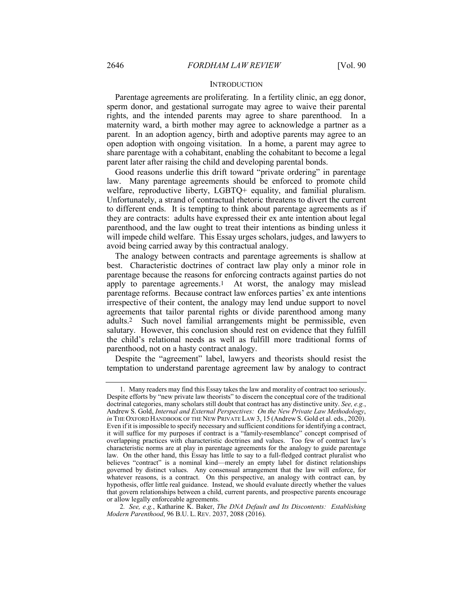#### **INTRODUCTION**

Parentage agreements are proliferating. In a fertility clinic, an egg donor, sperm donor, and gestational surrogate may agree to waive their parental rights, and the intended parents may agree to share parenthood. In a maternity ward, a birth mother may agree to acknowledge a partner as a parent. In an adoption agency, birth and adoptive parents may agree to an open adoption with ongoing visitation. In a home, a parent may agree to share parentage with a cohabitant, enabling the cohabitant to become a legal parent later after raising the child and developing parental bonds.

Good reasons underlie this drift toward "private ordering" in parentage law. Many parentage agreements should be enforced to promote child welfare, reproductive liberty, LGBTQ+ equality, and familial pluralism. Unfortunately, a strand of contractual rhetoric threatens to divert the current to different ends. It is tempting to think about parentage agreements as if they are contracts: adults have expressed their ex ante intention about legal parenthood, and the law ought to treat their intentions as binding unless it will impede child welfare. This Essay urges scholars, judges, and lawyers to avoid being carried away by this contractual analogy.

The analogy between contracts and parentage agreements is shallow at best. Characteristic doctrines of contract law play only a minor role in parentage because the reasons for enforcing contracts against parties do not apply to parentage agreements.1 At worst, the analogy may mislead parentage reforms. Because contract law enforces parties' ex ante intentions irrespective of their content, the analogy may lend undue support to novel agreements that tailor parental rights or divide parenthood among many adults.2 Such novel familial arrangements might be permissible, even salutary. However, this conclusion should rest on evidence that they fulfill the child's relational needs as well as fulfill more traditional forms of parenthood, not on a hasty contract analogy.

Despite the "agreement" label, lawyers and theorists should resist the temptation to understand parentage agreement law by analogy to contract

<sup>1.</sup> Many readers may find this Essay takes the law and morality of contract too seriously. Despite efforts by "new private law theorists" to discern the conceptual core of the traditional doctrinal categories, many scholars still doubt that contract has any distinctive unity. *See, e.g.*, Andrew S. Gold, *Internal and External Perspectives: On the New Private Law Methodology*, *in* THE OXFORD HANDBOOK OF THE NEW PRIVATE LAW 3, 15 (Andrew S. Gold et al. eds., 2020). Even if it isimpossible to specify necessary and sufficient conditions for identifying a contract, it will suffice for my purposes if contract is a "family-resemblance" concept comprised of overlapping practices with characteristic doctrines and values. Too few of contract law's characteristic norms are at play in parentage agreements for the analogy to guide parentage law. On the other hand, this Essay has little to say to a full-fledged contract pluralist who believes "contract" is a nominal kind—merely an empty label for distinct relationships governed by distinct values. Any consensual arrangement that the law will enforce, for whatever reasons, is a contract. On this perspective, an analogy with contract can, by hypothesis, offer little real guidance. Instead, we should evaluate directly whether the values that govern relationships between a child, current parents, and prospective parents encourage or allow legally enforceable agreements.

<sup>2</sup>*. See, e.g.*, Katharine K. Baker, *The DNA Default and Its Discontents: Establishing Modern Parenthood*, 96 B.U. L. REV. 2037, 2088 (2016).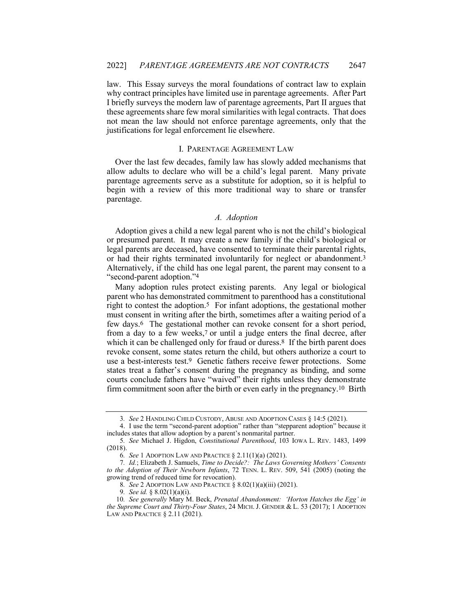law. This Essay surveys the moral foundations of contract law to explain why contract principles have limited use in parentage agreements. After Part I briefly surveys the modern law of parentage agreements, Part II argues that these agreements share few moral similarities with legal contracts. That does not mean the law should not enforce parentage agreements, only that the justifications for legal enforcement lie elsewhere.

### I. PARENTAGE AGREEMENT LAW

Over the last few decades, family law has slowly added mechanisms that allow adults to declare who will be a child's legal parent. Many private parentage agreements serve as a substitute for adoption, so it is helpful to begin with a review of this more traditional way to share or transfer parentage.

# *A. Adoption*

Adoption gives a child a new legal parent who is not the child's biological or presumed parent. It may create a new family if the child's biological or legal parents are deceased, have consented to terminate their parental rights, or had their rights terminated involuntarily for neglect or abandonment.3 Alternatively, if the child has one legal parent, the parent may consent to a "second-parent adoption."4

Many adoption rules protect existing parents. Any legal or biological parent who has demonstrated commitment to parenthood has a constitutional right to contest the adoption.5 For infant adoptions, the gestational mother must consent in writing after the birth, sometimes after a waiting period of a few days.6 The gestational mother can revoke consent for a short period, from a day to a few weeks,<sup>7</sup> or until a judge enters the final decree, after which it can be challenged only for fraud or duress.<sup>8</sup> If the birth parent does revoke consent, some states return the child, but others authorize a court to use a best-interests test.9 Genetic fathers receive fewer protections. Some states treat a father's consent during the pregnancy as binding, and some courts conclude fathers have "waived" their rights unless they demonstrate firm commitment soon after the birth or even early in the pregnancy.<sup>10</sup> Birth

<sup>3</sup>*. See* 2 HANDLING CHILD CUSTODY, ABUSE AND ADOPTION CASES § 14:5 (2021).

<sup>4.</sup> I use the term "second-parent adoption" rather than "stepparent adoption" because it includes states that allow adoption by a parent's nonmarital partner.

<sup>5</sup>*. See* Michael J. Higdon, *Constitutional Parenthood*, 103 IOWA L. REV. 1483, 1499 (2018).

<sup>6</sup>*. See* 1 ADOPTION LAW AND PRACTICE § 2.11(1)(a) (2021).

<sup>7</sup>*. Id.*; Elizabeth J. Samuels, *Time to Decide?: The Laws Governing Mothers' Consents to the Adoption of Their Newborn Infants*, 72 TENN. L. REV. 509, 541 (2005) (noting the growing trend of reduced time for revocation).

<sup>8</sup>*. See* 2 ADOPTION LAW AND PRACTICE § 8.02(1)(a)(iii) (2021).

<sup>9</sup>*. See id.* § 8.02(1)(a)(i).

<sup>10</sup>*. See generally* Mary M. Beck, *Prenatal Abandonment: 'Horton Hatches the Egg' in the Supreme Court and Thirty-Four States*, 24 MICH. J. GENDER & L. 53 (2017); 1 ADOPTION LAW AND PRACTICE § 2.11 (2021).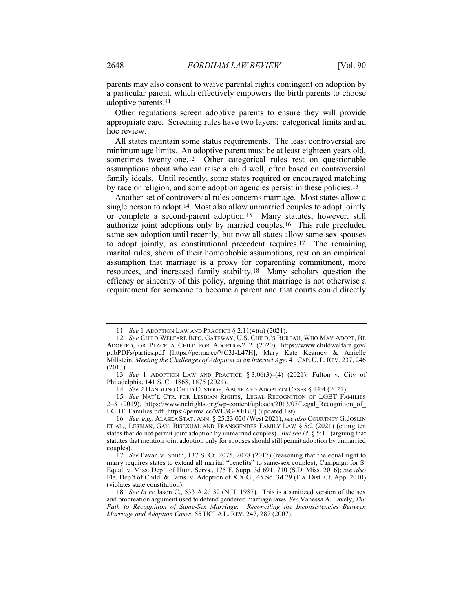parents may also consent to waive parental rights contingent on adoption by a particular parent, which effectively empowers the birth parents to choose adoptive parents.11

Other regulations screen adoptive parents to ensure they will provide appropriate care. Screening rules have two layers: categorical limits and ad hoc review.

All states maintain some status requirements. The least controversial are minimum age limits. An adoptive parent must be at least eighteen years old, sometimes twenty-one.<sup>12</sup> Other categorical rules rest on questionable assumptions about who can raise a child well, often based on controversial family ideals. Until recently, some states required or encouraged matching by race or religion, and some adoption agencies persist in these policies.13

Another set of controversial rules concerns marriage. Most states allow a single person to adopt.14 Most also allow unmarried couples to adopt jointly or complete a second-parent adoption.15 Many statutes, however, still authorize joint adoptions only by married couples.16 This rule precluded same-sex adoption until recently, but now all states allow same-sex spouses to adopt jointly, as constitutional precedent requires.17 The remaining marital rules, shorn of their homophobic assumptions, rest on an empirical assumption that marriage is a proxy for coparenting commitment, more resources, and increased family stability.18 Many scholars question the efficacy or sincerity of this policy, arguing that marriage is not otherwise a requirement for someone to become a parent and that courts could directly

15*. See* NAT'L CTR. FOR LESBIAN RIGHTS, LEGAL RECOGNITION OF LGBT FAMILIES 2–3 (2019), https://www.nclrights.org/wp-content/uploads/2013/07/Legal Recognition of LGBT\_Families.pdf [https://perma.cc/WL3G-XFBU] (updated list).

<sup>11</sup>*. See* 1 ADOPTION LAW AND PRACTICE § 2.11(4)(a) (2021).

<sup>12</sup>*. See* CHILD WELFARE INFO. GATEWAY, U.S. CHILD.'S BUREAU, WHO MAY ADOPT, BE ADOPTED, OR PLACE A CHILD FOR ADOPTION? 2 (2020), https://www.childwelfare.gov/ pubPDFs/parties.pdf [https://perma.cc/VC3J-L47H]; Mary Kate Kearney & Arrielle Millstein, *Meeting the Challenges of Adoption in an Internet Age*, 41 CAP. U. L. REV. 237, 246 (2013).

<sup>13</sup>*. See* 1 ADOPTION LAW AND PRACTICE § 3.06(3)–(4) (2021); Fulton v. City of Philadelphia, 141 S. Ct. 1868, 1875 (2021).

<sup>14</sup>*. See* 2 HANDLING CHILD CUSTODY, ABUSE AND ADOPTION CASES § 14:4 (2021).

<sup>16</sup>*. See, e.g.*, ALASKA STAT. ANN. § 25.23.020 (West 2021); *see also* COURTNEY G.JOSLIN ET AL., LESBIAN, GAY, BISEXUAL AND TRANSGENDER FAMILY LAW § 5:2 (2021) (citing ten states that do not permit joint adoption by unmarried couples). *But see id.* § 5:11 (arguing that statutes that mention joint adoption only for spouses should still permit adoption by unmarried couples).

<sup>17</sup>*. See* Pavan v. Smith, 137 S. Ct. 2075, 2078 (2017) (reasoning that the equal right to marry requires states to extend all marital "benefits" to same-sex couples); Campaign for S. Equal. v. Miss. Dep't of Hum. Servs., 175 F. Supp. 3d 691, 710 (S.D. Miss. 2016); *see also* Fla. Dep't of Child. & Fams. v. Adoption of X.X.G., 45 So. 3d 79 (Fla. Dist. Ct. App. 2010) (violates state constitution).

<sup>18</sup>*. See In re* Jason C., 533 A.2d 32 (N.H. 1987). This is a sanitized version of the sex and procreation argument used to defend gendered marriage laws. *See* Vanessa A. Lavely, *The Path to Recognition of Same-Sex Marriage: Reconciling the Inconsistencies Between Marriage and Adoption Cases*, 55 UCLA L. REV. 247, 287 (2007).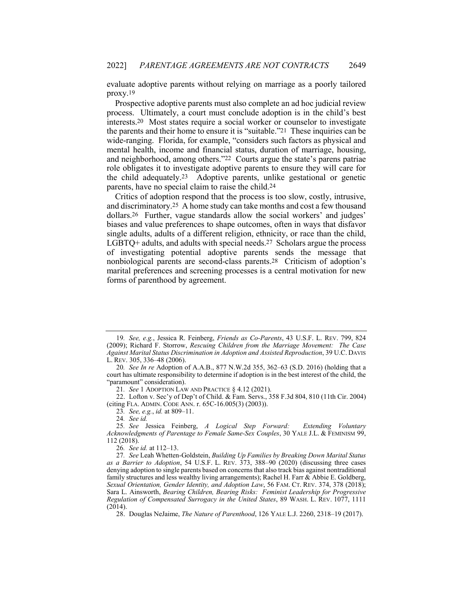evaluate adoptive parents without relying on marriage as a poorly tailored proxy.19

Prospective adoptive parents must also complete an ad hoc judicial review process. Ultimately, a court must conclude adoption is in the child's best interests.20 Most states require a social worker or counselor to investigate the parents and their home to ensure it is "suitable."21 These inquiries can be wide-ranging. Florida, for example, "considers such factors as physical and mental health, income and financial status, duration of marriage, housing, and neighborhood, among others."22 Courts argue the state's parens patriae role obligates it to investigate adoptive parents to ensure they will care for the child adequately.23 Adoptive parents, unlike gestational or genetic parents, have no special claim to raise the child.24

Critics of adoption respond that the process is too slow, costly, intrusive, and discriminatory.25 A home study can take months and cost a few thousand dollars.26 Further, vague standards allow the social workers' and judges' biases and value preferences to shape outcomes, often in ways that disfavor single adults, adults of a different religion, ethnicity, or race than the child, LGBTQ+ adults, and adults with special needs.27 Scholars argue the process of investigating potential adoptive parents sends the message that nonbiological parents are second-class parents.28 Criticism of adoption's marital preferences and screening processes is a central motivation for new forms of parenthood by agreement.

21*. See* 1 ADOPTION LAW AND PRACTICE § 4.12 (2021).

22. Lofton v. Sec'y of Dep't of Child. & Fam. Servs., 358 F.3d 804, 810 (11th Cir. 2004) (citing FLA. ADMIN. CODE ANN. r. 65C-16.005(3) (2003)).

23*. See, e.g.*, *id.* at 809–11.

24*. See id.*

25*. See* Jessica Feinberg, *A Logical Step Forward: Extending Voluntary Acknowledgments of Parentage to Female Same-Sex Couples*, 30 YALE J.L. & FEMINISM 99, 112 (2018).

26*. See id.* at 112–13.

28. Douglas NeJaime, *The Nature of Parenthood*, 126 YALE L.J. 2260, 2318–19 (2017).

<sup>19</sup>*. See, e.g.*, Jessica R. Feinberg, *Friends as Co-Parents*, 43 U.S.F. L. REV. 799, 824 (2009); Richard F. Storrow, *Rescuing Children from the Marriage Movement: The Case Against Marital Status Discrimination in Adoption and Assisted Reproduction*, 39 U.C. DAVIS L. REV. 305, 336–48 (2006).

<sup>20</sup>*. See In re* Adoption of A.A.B., 877 N.W.2d 355, 362–63 (S.D. 2016) (holding that a court has ultimate responsibility to determine if adoption is in the best interest of the child, the "paramount" consideration).

<sup>27</sup>*. See* Leah Whetten-Goldstein, *Building Up Families by Breaking Down Marital Status as a Barrier to Adoption*, 54 U.S.F. L. REV. 373, 388–90 (2020) (discussing three cases denying adoption to single parents based on concerns that also track bias against nontraditional family structures and less wealthy living arrangements); Rachel H. Farr & Abbie E. Goldberg, *Sexual Orientation, Gender Identity, and Adoption Law*, 56 FAM. CT. REV. 374, 378 (2018); Sara L. Ainsworth, *Bearing Children, Bearing Risks: Feminist Leadership for Progressive Regulation of Compensated Surrogacy in the United States*, 89 WASH. L. REV. 1077, 1111 (2014).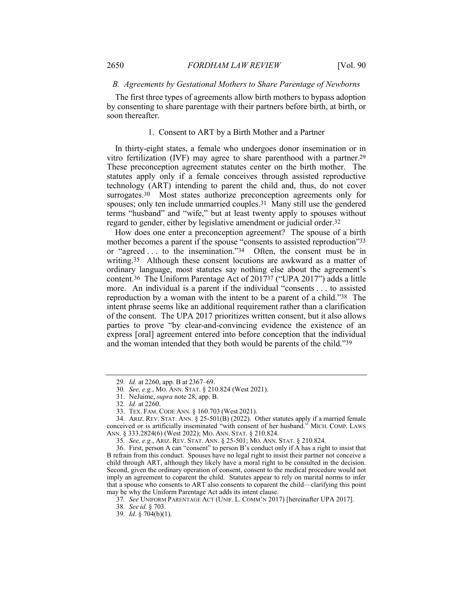#### *B. Agreements by Gestational Mothers to Share Parentage of Newborns*

The first three types of agreements allow birth mothers to bypass adoption by consenting to share parentage with their partners before birth, at birth, or soon thereafter.

#### 1. Consent to ART by a Birth Mother and a Partner

In thirty-eight states, a female who undergoes donor insemination or in vitro fertilization (IVF) may agree to share parenthood with a partner.29 These preconception agreement statutes center on the birth mother. The statutes apply only if a female conceives through assisted reproductive technology (ART) intending to parent the child and, thus, do not cover surrogates.<sup>30</sup> Most states authorize preconception agreements only for spouses; only ten include unmarried couples.31 Many still use the gendered terms "husband" and "wife," but at least twenty apply to spouses without regard to gender, either by legislative amendment or judicial order.32

How does one enter a preconception agreement? The spouse of a birth mother becomes a parent if the spouse "consents to assisted reproduction"33 or "agreed . . . to the insemination."34 Often, the consent must be in writing.<sup>35</sup> Although these consent locutions are awkward as a matter of ordinary language, most statutes say nothing else about the agreement's content.36 The Uniform Parentage Act of 201737 ("UPA 2017") adds a little more. An individual is a parent if the individual "consents . . . to assisted reproduction by a woman with the intent to be a parent of a child."38 The intent phrase seems like an additional requirement rather than a clarification of the consent. The UPA 2017 prioritizes written consent, but it also allows parties to prove "by clear-and-convincing evidence the existence of an express [oral] agreement entered into before conception that the individual and the woman intended that they both would be parents of the child."39

34. ARIZ. REV. STAT. ANN. § 25-501(B) (2022). Other statutes apply if a married female conceived or is artificially inseminated "with consent of her husband." MICH. COMP. LAWS ANN. § 333.2824(6) (West 2022); MO. ANN. STAT. § 210.824.

35*. See, e.g.*, ARIZ. REV. STAT. ANN. § 25-501; MO. ANN. STAT. § 210.824.

36. First, person A can "consent" to person B's conduct only if A has a right to insist that B refrain from this conduct. Spouses have no legal right to insist their partner not conceive a child through ART, although they likely have a moral right to be consulted in the decision. Second, given the ordinary operation of consent, consent to the medical procedure would not imply an agreement to coparent the child. Statutes appear to rely on marital norms to infer that a spouse who consents to ART also consents to coparent the child—clarifying this point may be why the Uniform Parentage Act adds its intent clause.

<sup>29</sup>*. Id.* at 2260, app. B at 2367–69.

<sup>30</sup>*. See, e.g.*, MO. ANN. STAT. § 210.824 (West 2021).

<sup>31.</sup> NeJaime, *supra* note 28, app. B.

<sup>32</sup>*. Id.* at 2260.

<sup>33.</sup> TEX. FAM. CODE ANN. § 160.703 (West 2021).

<sup>37</sup>*. See* UNIFORM PARENTAGE ACT (UNIF. L. COMM'N 2017) [hereinafter UPA 2017].

<sup>38</sup>*. See id.* § 703.

<sup>39</sup>*. Id.* § 704(b)(1).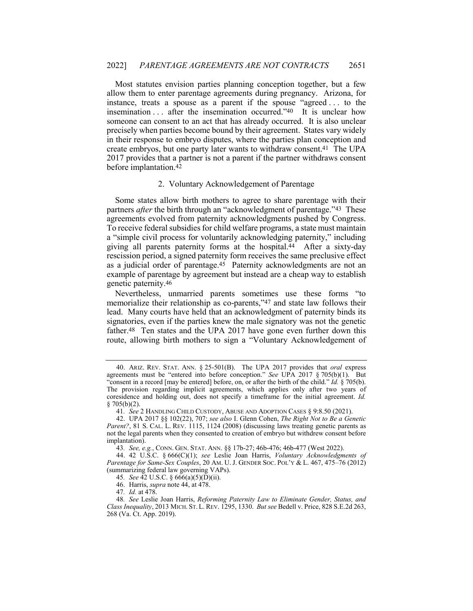Most statutes envision parties planning conception together, but a few allow them to enter parentage agreements during pregnancy. Arizona, for instance, treats a spouse as a parent if the spouse "agreed . . . to the insemination . . . after the insemination occurred."40 It is unclear how someone can consent to an act that has already occurred. It is also unclear precisely when parties become bound by their agreement. States vary widely in their response to embryo disputes, where the parties plan conception and create embryos, but one party later wants to withdraw consent.41 The UPA 2017 provides that a partner is not a parent if the partner withdraws consent before implantation.42

#### 2. Voluntary Acknowledgement of Parentage

Some states allow birth mothers to agree to share parentage with their partners *after* the birth through an "acknowledgment of parentage."43 These agreements evolved from paternity acknowledgments pushed by Congress. To receive federal subsidies for child welfare programs, a state must maintain a "simple civil process for voluntarily acknowledging paternity," including giving all parents paternity forms at the hospital.44 After a sixty-day rescission period, a signed paternity form receives the same preclusive effect as a judicial order of parentage.45 Paternity acknowledgments are not an example of parentage by agreement but instead are a cheap way to establish genetic paternity.46

Nevertheless, unmarried parents sometimes use these forms "to memorialize their relationship as co-parents,"47 and state law follows their lead. Many courts have held that an acknowledgment of paternity binds its signatories, even if the parties knew the male signatory was not the genetic father.48 Ten states and the UPA 2017 have gone even further down this route, allowing birth mothers to sign a "Voluntary Acknowledgement of

47*. Id.* at 478.

<sup>40.</sup> ARIZ. REV. STAT. ANN. § 25-501(B). The UPA 2017 provides that *oral* express agreements must be "entered into before conception." *See* UPA 2017 § 705(b)(1). But "consent in a record [may be entered] before, on, or after the birth of the child." *Id.* § 705(b). The provision regarding implicit agreements, which applies only after two years of coresidence and holding out, does not specify a timeframe for the initial agreement. *Id.*  $§ 705(b)(2).$ 

<sup>41</sup>*. See* 2 HANDLING CHILD CUSTODY, ABUSE AND ADOPTION CASES § 9:8.50 (2021).

<sup>42.</sup> UPA 2017 §§ 102(22), 707; *see also* I. Glenn Cohen, *The Right Not to Be a Genetic*  Parent?, 81 S. CAL. L. REV. 1115, 1124 (2008) (discussing laws treating genetic parents as not the legal parents when they consented to creation of embryo but withdrew consent before implantation).

<sup>43</sup>*. See, e.g.*, CONN. GEN. STAT. ANN. §§ 17b-27; 46b-476; 46b-477 (West 2022).

<sup>44.</sup> 42 U.S.C. § 666(C)(1); *see* Leslie Joan Harris, *Voluntary Acknowledgments of Parentage for Same-Sex Couples*, 20 AM. U. J. GENDER SOC. POL'Y & L. 467, 475–76 (2012) (summarizing federal law governing VAPs).

<sup>45</sup>*. See* 42 U.S.C. § 666(a)(5)(D)(ii).

<sup>46.</sup> Harris, *supra* note 44, at 478.

<sup>48</sup>*. See* Leslie Joan Harris, *Reforming Paternity Law to Eliminate Gender, Status, and Class Inequality*, 2013 MICH. ST.L. REV. 1295, 1330. *But see* Bedell v. Price, 828 S.E.2d 263, 268 (Va. Ct. App. 2019).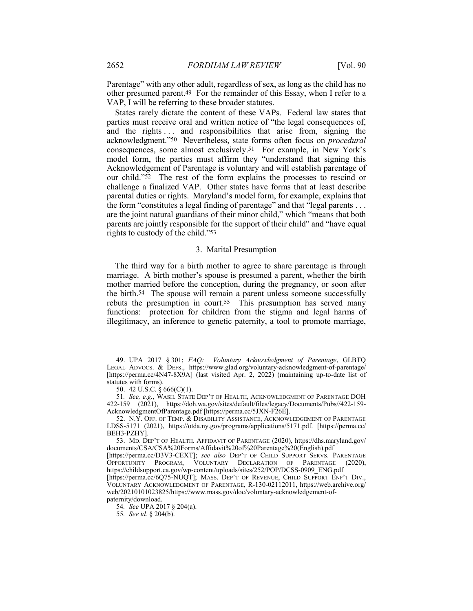Parentage" with any other adult, regardless of sex, as long as the child has no other presumed parent.49 For the remainder of this Essay, when I refer to a VAP, I will be referring to these broader statutes.

States rarely dictate the content of these VAPs. Federal law states that parties must receive oral and written notice of "the legal consequences of, and the rights ... and responsibilities that arise from, signing the acknowledgment."50 Nevertheless, state forms often focus on *procedural* consequences, some almost exclusively.51 For example, in New York's model form, the parties must affirm they "understand that signing this Acknowledgement of Parentage is voluntary and will establish parentage of our child."52 The rest of the form explains the processes to rescind or challenge a finalized VAP. Other states have forms that at least describe parental duties or rights. Maryland's model form, for example, explains that the form "constitutes a legal finding of parentage" and that "legal parents . . . are the joint natural guardians of their minor child," which "means that both parents are jointly responsible for the support of their child" and "have equal rights to custody of the child."53

#### 3. Marital Presumption

The third way for a birth mother to agree to share parentage is through marriage. A birth mother's spouse is presumed a parent, whether the birth mother married before the conception, during the pregnancy, or soon after the birth.54 The spouse will remain a parent unless someone successfully rebuts the presumption in court.55 This presumption has served many functions: protection for children from the stigma and legal harms of illegitimacy, an inference to genetic paternity, a tool to promote marriage,

<sup>49.</sup> UPA 2017 § 301; *FAQ: Voluntary Acknowledgment of Parentage*, GLBTQ LEGAL ADVOCS. & DEFS., https://www.glad.org/voluntary-acknowledgment-of-parentage/ [https://perma.cc/4N47-8X9A] (last visited Apr. 2, 2022) (maintaining up-to-date list of statutes with forms).

<sup>50.</sup> 42 U.S.C. § 666(C)(1).

<sup>51</sup>*. See, e.g.*, WASH. STATE DEP'T OF HEALTH, ACKNOWLEDGMENT OF PARENTAGE DOH 422-159 (2021), https://doh.wa.gov/sites/default/files/legacy/Documents/Pubs//422-159- AcknowledgmentOfParentage.pdf [https://perma.cc/5JXN-F26E].

<sup>52.</sup> N.Y. OFF. OF TEMP. & DISABILITY ASSISTANCE, ACKNOWLEDGEMENT OF PARENTAGE LDSS-5171 (2021), https://otda.ny.gov/programs/applications/5171.pdf. [https://perma.cc/ BEH3-PZHY].

<sup>53.</sup> MD. DEP'T OF HEALTH*,* AFFIDAVIT OF PARENTAGE (2020), https://dhs.maryland.gov/ documents/CSA/CSA%20Forms/Affidavit%20of%20Parentage%20(English).pdf

<sup>[</sup>https://perma.cc/D3V3-CEXT]; *see also* DEP'T OF CHILD SUPPORT SERVS. PARENTAGE OPPORTUNITY PROGRAM, VOLUNTARY DECLARATION OF PARENTAGE (2020), https://childsupport.ca.gov/wp-content/uploads/sites/252/POP/DCSS-0909\_ENG.pdf

<sup>[</sup>https://perma.cc/6Q75-NUQT]; MASS. DEP'T OF REVENUE, CHILD SUPPORT ENF'T DIV., VOLUNTARY ACKNOWLEDGMENT OF PARENTAGE, R-130-02112011, https://web.archive.org/ web/20210101023825/https://www.mass.gov/doc/voluntary-acknowledgement-ofpaternity/download.

<sup>54</sup>*. See* UPA 2017 § 204(a).

<sup>55</sup>*. See id.* § 204(b).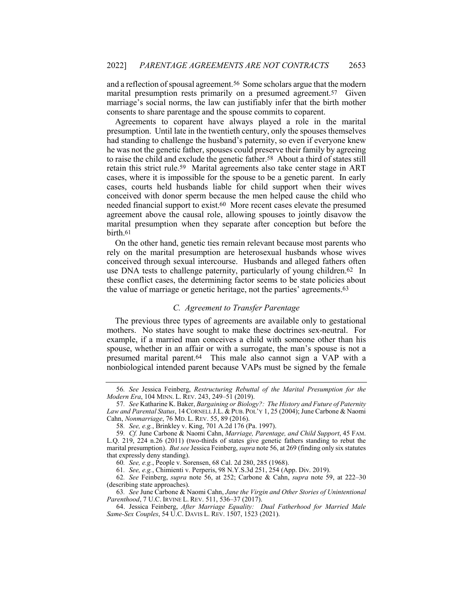and a reflection of spousal agreement.56 Some scholars argue that the modern marital presumption rests primarily on a presumed agreement.<sup>57</sup> Given marriage's social norms, the law can justifiably infer that the birth mother consents to share parentage and the spouse commits to coparent.

Agreements to coparent have always played a role in the marital presumption. Until late in the twentieth century, only the spouses themselves had standing to challenge the husband's paternity, so even if everyone knew he was not the genetic father, spouses could preserve their family by agreeing to raise the child and exclude the genetic father.58 About a third of states still retain this strict rule.59 Marital agreements also take center stage in ART cases, where it is impossible for the spouse to be a genetic parent. In early cases, courts held husbands liable for child support when their wives conceived with donor sperm because the men helped cause the child who needed financial support to exist.60 More recent cases elevate the presumed agreement above the causal role, allowing spouses to jointly disavow the marital presumption when they separate after conception but before the birth.61

On the other hand, genetic ties remain relevant because most parents who rely on the marital presumption are heterosexual husbands whose wives conceived through sexual intercourse. Husbands and alleged fathers often use DNA tests to challenge paternity, particularly of young children.62 In these conflict cases, the determining factor seems to be state policies about the value of marriage or genetic heritage, not the parties' agreements.63

## *C. Agreement to Transfer Parentage*

The previous three types of agreements are available only to gestational mothers. No states have sought to make these doctrines sex-neutral. For example, if a married man conceives a child with someone other than his spouse, whether in an affair or with a surrogate, the man's spouse is not a presumed marital parent.64 This male also cannot sign a VAP with a nonbiological intended parent because VAPs must be signed by the female

<sup>56</sup>*. See* Jessica Feinberg, *Restructuring Rebuttal of the Marital Presumption for the Modern Era*, 104 MINN. L. REV. 243, 249–51 (2019).

<sup>57</sup>*. See* Katharine K. Baker, *Bargaining or Biology?: The History and Future of Paternity*  Law and Parental Status, 14 CORNELL J.L. & PUB. POL'Y 1, 25 (2004); June Carbone & Naomi Cahn, *Nonmarriage*, 76 MD. L. REV. 55, 89 (2016).

<sup>58</sup>*. See, e.g.*, Brinkley v. King, 701 A.2d 176 (Pa. 1997).

<sup>59</sup>*. Cf.* June Carbone & Naomi Cahn, *Marriage, Parentage, and Child Support*, 45 FAM. L.Q. 219, 224 n.26 (2011) (two-thirds of states give genetic fathers standing to rebut the marital presumption). *But see* Jessica Feinberg, *supra* note 56, at 269 (finding only six statutes that expressly deny standing).

<sup>60</sup>*. See, e.g.*, People v. Sorensen, 68 Cal. 2d 280, 285 (1968).

<sup>61</sup>*. See, e.g.*, Chimienti v. Perperis, 98 N.Y.S.3d 251, 254 (App. Div. 2019).

<sup>62</sup>*. See* Feinberg, *supra* note 56, at 252; Carbone & Cahn, *supra* note 59, at 222–30 (describing state approaches).

<sup>63</sup>*. See* June Carbone & Naomi Cahn, *Jane the Virgin and Other Stories of Unintentional Parenthood*, 7 U.C. IRVINE L. REV. 511, 536–37 (2017).

<sup>64.</sup> Jessica Feinberg, *After Marriage Equality: Dual Fatherhood for Married Male Same-Sex Couples*, 54 U.C. DAVIS L. REV. 1507, 1523 (2021).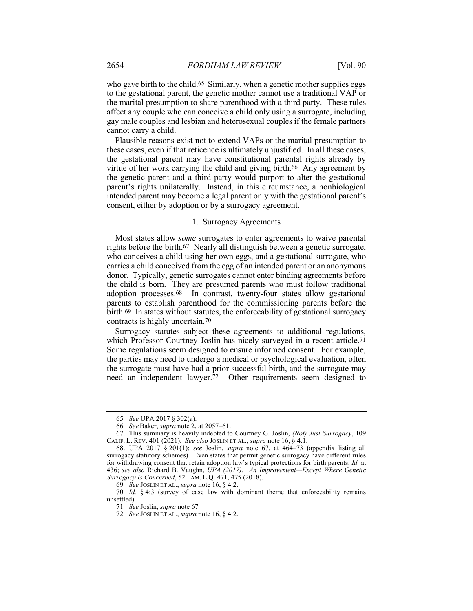who gave birth to the child.<sup>65</sup> Similarly, when a genetic mother supplies eggs to the gestational parent, the genetic mother cannot use a traditional VAP or the marital presumption to share parenthood with a third party. These rules affect any couple who can conceive a child only using a surrogate, including gay male couples and lesbian and heterosexual couples if the female partners cannot carry a child.

Plausible reasons exist not to extend VAPs or the marital presumption to these cases, even if that reticence is ultimately unjustified. In all these cases, the gestational parent may have constitutional parental rights already by virtue of her work carrying the child and giving birth.66 Any agreement by the genetic parent and a third party would purport to alter the gestational parent's rights unilaterally. Instead, in this circumstance, a nonbiological intended parent may become a legal parent only with the gestational parent's consent, either by adoption or by a surrogacy agreement.

#### 1. Surrogacy Agreements

Most states allow *some* surrogates to enter agreements to waive parental rights before the birth.67 Nearly all distinguish between a genetic surrogate, who conceives a child using her own eggs, and a gestational surrogate, who carries a child conceived from the egg of an intended parent or an anonymous donor. Typically, genetic surrogates cannot enter binding agreements before the child is born. They are presumed parents who must follow traditional adoption processes.68 In contrast, twenty-four states allow gestational parents to establish parenthood for the commissioning parents before the birth.69 In states without statutes, the enforceability of gestational surrogacy contracts is highly uncertain.70

Surrogacy statutes subject these agreements to additional regulations, which Professor Courtney Joslin has nicely surveyed in a recent article.<sup>71</sup> Some regulations seem designed to ensure informed consent. For example, the parties may need to undergo a medical or psychological evaluation, often the surrogate must have had a prior successful birth, and the surrogate may need an independent lawyer.72 Other requirements seem designed to

<sup>65</sup>*. See* UPA 2017 § 302(a).

<sup>66</sup>*. See* Baker, *supra* note 2, at 2057–61.

<sup>67.</sup> This summary is heavily indebted to Courtney G. Joslin, *(Not) Just Surrogacy*, 109 CALIF. L. REV. 401 (2021). *See also* JOSLIN ET AL., *supra* note 16, § 4:1.

<sup>68.</sup> UPA 2017 § 201(1); *see* Joslin, *supra* note 67, at 464–73 (appendix listing all surrogacy statutory schemes). Even states that permit genetic surrogacy have different rules for withdrawing consent that retain adoption law's typical protections for birth parents. *Id.* at 436; *see also* Richard B. Vaughn, *UPA (2017): An Improvement—Except Where Genetic Surrogacy Is Concerned*, 52 FAM. L.Q. 471, 475 (2018).

<sup>69</sup>*. See* JOSLIN ET AL., *supra* note 16, § 4:2.

<sup>70</sup>*. Id.* § 4:3 (survey of case law with dominant theme that enforceability remains unsettled).

<sup>71</sup>*. See* Joslin, *supra* note 67*.*

<sup>72</sup>*. See* JOSLIN ET AL., *supra* note 16, § 4:2.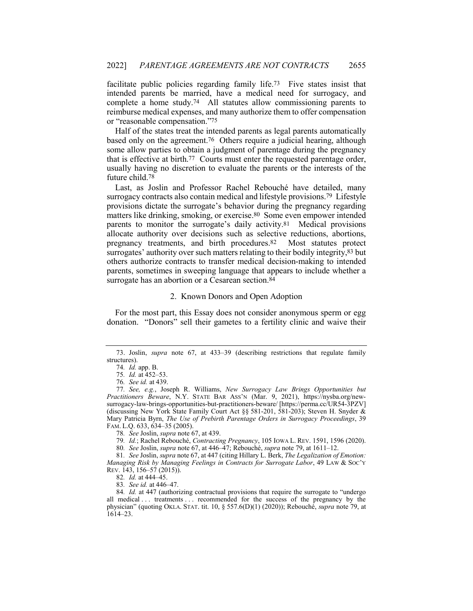facilitate public policies regarding family life.73 Five states insist that intended parents be married, have a medical need for surrogacy, and complete a home study.74 All statutes allow commissioning parents to reimburse medical expenses, and many authorize them to offer compensation or "reasonable compensation."75

Half of the states treat the intended parents as legal parents automatically based only on the agreement.76 Others require a judicial hearing, although some allow parties to obtain a judgment of parentage during the pregnancy that is effective at birth.77 Courts must enter the requested parentage order, usually having no discretion to evaluate the parents or the interests of the future child.78

Last, as Joslin and Professor Rachel Rebouché have detailed, many surrogacy contracts also contain medical and lifestyle provisions.79 Lifestyle provisions dictate the surrogate's behavior during the pregnancy regarding matters like drinking, smoking, or exercise.80 Some even empower intended parents to monitor the surrogate's daily activity.81 Medical provisions allocate authority over decisions such as selective reductions, abortions, pregnancy treatments, and birth procedures.82 Most statutes protect surrogates' authority over such matters relating to their bodily integrity,83 but others authorize contracts to transfer medical decision-making to intended parents, sometimes in sweeping language that appears to include whether a surrogate has an abortion or a Cesarean section.<sup>84</sup>

### 2. Known Donors and Open Adoption

For the most part, this Essay does not consider anonymous sperm or egg donation. "Donors" sell their gametes to a fertility clinic and waive their

79*. Id.*; Rachel Rebouché, *Contracting Pregnancy*, 105 IOWA L. REV. 1591, 1596 (2020).

80*. See* Joslin, *supra* note 67, at 446–47; Rebouché, *supra* note 79, at 1611–12.

81*. See* Joslin, *supra* note 67, at 447 (citing Hillary L. Berk, *The Legalization of Emotion: Managing Risk by Managing Feelings in Contracts for Surrogate Labor*, 49 LAW & SOC'Y REV. 143, 156–57 (2015)).

<sup>73.</sup> Joslin, *supra* note 67, at 433–39 (describing restrictions that regulate family structures).

<sup>74</sup>*. Id.* app. B.

<sup>75</sup>*. Id.* at 452–53.

<sup>76</sup>*. See id.* at 439.

<sup>77</sup>*. See, e.g.*, Joseph R. Williams, *New Surrogacy Law Brings Opportunities but Practitioners Beware*, N.Y. STATE BAR ASS'N (Mar. 9, 2021), https://nysba.org/newsurrogacy-law-brings-opportunities-but-practitioners-beware/ [https://perma.cc/UR54-3PZV] (discussing New York State Family Court Act §§ 581-201, 581-203); Steven H. Snyder & Mary Patricia Byrn, *The Use of Prebirth Parentage Orders in Surrogacy Proceedings*, 39 FAM. L.Q. 633, 634–35 (2005).

<sup>78</sup>*. See* Joslin, *supra* note 67, at 439.

<sup>82</sup>*. Id.* at 444–45.

<sup>83</sup>*. See id.* at 446–47.

<sup>84</sup>*. Id.* at 447 (authorizing contractual provisions that require the surrogate to "undergo all medical . . . treatments . . . recommended for the success of the pregnancy by the physician" (quoting OKLA. STAT. tit. 10, § 557.6(D)(1) (2020)); Rebouché, *supra* note 79, at 1614–23.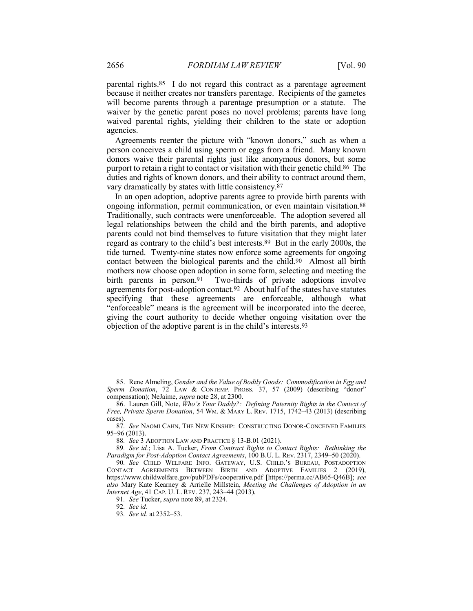parental rights.85 I do not regard this contract as a parentage agreement because it neither creates nor transfers parentage. Recipients of the gametes will become parents through a parentage presumption or a statute. The waiver by the genetic parent poses no novel problems; parents have long waived parental rights, yielding their children to the state or adoption agencies.

Agreements reenter the picture with "known donors," such as when a person conceives a child using sperm or eggs from a friend. Many known donors waive their parental rights just like anonymous donors, but some purport to retain a right to contact or visitation with their genetic child.86 The duties and rights of known donors, and their ability to contract around them, vary dramatically by states with little consistency.87

In an open adoption, adoptive parents agree to provide birth parents with ongoing information, permit communication, or even maintain visitation.88 Traditionally, such contracts were unenforceable. The adoption severed all legal relationships between the child and the birth parents, and adoptive parents could not bind themselves to future visitation that they might later regard as contrary to the child's best interests.89 But in the early 2000s, the tide turned. Twenty-nine states now enforce some agreements for ongoing contact between the biological parents and the child.90 Almost all birth mothers now choose open adoption in some form, selecting and meeting the birth parents in person.<sup>91</sup> Two-thirds of private adoptions involve agreements for post-adoption contact.92 About half of the states have statutes specifying that these agreements are enforceable, although what "enforceable" means is the agreement will be incorporated into the decree, giving the court authority to decide whether ongoing visitation over the objection of the adoptive parent is in the child's interests.93

<sup>85.</sup> Rene Almeling, *Gender and the Value of Bodily Goods: Commodification in Egg and Sperm Donation*, 72 LAW & CONTEMP. PROBS. 37, 57 (2009) (describing "donor" compensation); NeJaime, *supra* note 28, at 2300.

<sup>86.</sup> Lauren Gill, Note, *Who's Your Daddy?: Defining Paternity Rights in the Context of Free, Private Sperm Donation*, 54 WM. & MARY L. REV. 1715, 1742–43 (2013) (describing cases).

<sup>87</sup>*. See* NAOMI CAHN, THE NEW KINSHIP: CONSTRUCTING DONOR-CONCEIVED FAMILIES 95–96 (2013).

<sup>88</sup>*. See* 3 ADOPTION LAW AND PRACTICE § 13-B.01 (2021).

<sup>89</sup>*. See id.*; Lisa A. Tucker, *From Contract Rights to Contact Rights: Rethinking the Paradigm for Post-Adoption Contact Agreements*, 100 B.U. L. REV. 2317, 2349–50 (2020).

<sup>90</sup>*. See* CHILD WELFARE INFO. GATEWAY, U.S. CHILD.'S BUREAU, POSTADOPTION CONTACT AGREEMENTS BETWEEN BIRTH AND ADOPTIVE FAMILIES 2 (2019), https://www.childwelfare.gov/pubPDFs/cooperative.pdf [https://perma.cc/AB65-Q46B]; *see also* Mary Kate Kearney & Arrielle Millstein, *Meeting the Challenges of Adoption in an Internet Age*, 41 CAP. U. L. REV. 237, 243–44 (2013).

<sup>91</sup>*. See* Tucker, *supra* note 89, at 2324.

<sup>92</sup>*. See id.*

<sup>93</sup>*. See id.* at 2352–53.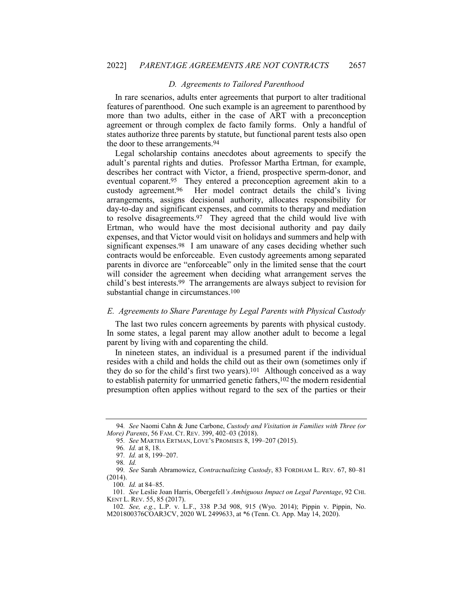#### *D. Agreements to Tailored Parenthood*

In rare scenarios, adults enter agreements that purport to alter traditional features of parenthood. One such example is an agreement to parenthood by more than two adults, either in the case of ART with a preconception agreement or through complex de facto family forms. Only a handful of states authorize three parents by statute, but functional parent tests also open the door to these arrangements.94

Legal scholarship contains anecdotes about agreements to specify the adult's parental rights and duties. Professor Martha Ertman, for example, describes her contract with Victor, a friend, prospective sperm-donor, and eventual coparent.95 They entered a preconception agreement akin to a custody agreement.96 Her model contract details the child's living arrangements, assigns decisional authority, allocates responsibility for day-to-day and significant expenses, and commits to therapy and mediation to resolve disagreements.97 They agreed that the child would live with Ertman, who would have the most decisional authority and pay daily expenses, and that Victor would visit on holidays and summers and help with significant expenses.98 I am unaware of any cases deciding whether such contracts would be enforceable. Even custody agreements among separated parents in divorce are "enforceable" only in the limited sense that the court will consider the agreement when deciding what arrangement serves the child's best interests.99 The arrangements are always subject to revision for substantial change in circumstances.100

#### *E. Agreements to Share Parentage by Legal Parents with Physical Custody*

The last two rules concern agreements by parents with physical custody. In some states, a legal parent may allow another adult to become a legal parent by living with and coparenting the child.

In nineteen states, an individual is a presumed parent if the individual resides with a child and holds the child out as their own (sometimes only if they do so for the child's first two years).101 Although conceived as a way to establish paternity for unmarried genetic fathers,102 the modern residential presumption often applies without regard to the sex of the parties or their

<sup>94</sup>*. See* Naomi Cahn & June Carbone, *Custody and Visitation in Families with Three (or More) Parents*, 56 FAM. CT. REV. 399, 402–03 (2018).

<sup>95</sup>*. See* MARTHA ERTMAN, LOVE'S PROMISES 8, 199–207 (2015).

<sup>96</sup>*. Id.* at 8, 18.

<sup>97</sup>*. Id.* at 8, 199–207.

<sup>98</sup>*. Id.*

<sup>99</sup>*. See* Sarah Abramowicz, *Contractualizing Custody*, 83 FORDHAM L. REV. 67, 80–81 (2014).

<sup>100</sup>*. Id.* at 84–85.

<sup>101</sup>*. See* Leslie Joan Harris, Obergefell*'s Ambiguous Impact on Legal Parentage*, 92 CHI. KENT L. REV. 55, 85 (2017).

<sup>102</sup>*. See, e.g.*, L.P. v. L.F., 338 P.3d 908, 915 (Wyo. 2014); Pippin v. Pippin, No. M201800376COAR3CV, 2020 WL 2499633, at \*6 (Tenn. Ct. App. May 14, 2020).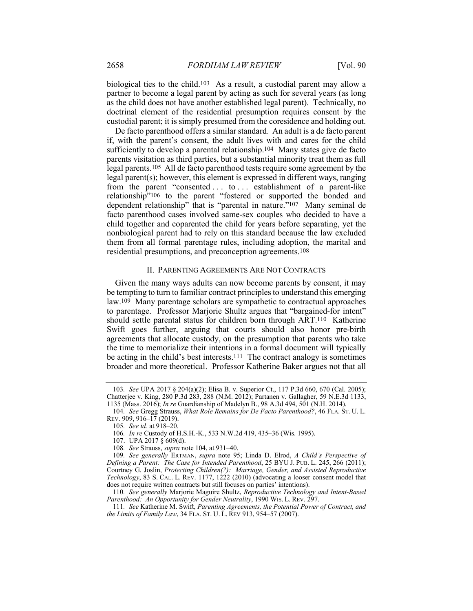biological ties to the child.103 As a result, a custodial parent may allow a partner to become a legal parent by acting as such for several years (as long as the child does not have another established legal parent). Technically, no doctrinal element of the residential presumption requires consent by the custodial parent; it is simply presumed from the coresidence and holding out.

De facto parenthood offers a similar standard. An adult is a de facto parent if, with the parent's consent, the adult lives with and cares for the child sufficiently to develop a parental relationship.104 Many states give de facto parents visitation as third parties, but a substantial minority treat them as full legal parents.105 All de facto parenthood tests require some agreement by the legal parent(s); however, this element is expressed in different ways, ranging from the parent "consented . . . to . . . establishment of a parent-like relationship"106 to the parent "fostered or supported the bonded and dependent relationship" that is "parental in nature."107 Many seminal de facto parenthood cases involved same-sex couples who decided to have a child together and coparented the child for years before separating, yet the nonbiological parent had to rely on this standard because the law excluded them from all formal parentage rules, including adoption, the marital and residential presumptions, and preconception agreements.108

#### II. PARENTING AGREEMENTS ARE NOT CONTRACTS

Given the many ways adults can now become parents by consent, it may be tempting to turn to familiar contract principles to understand this emerging law.109 Many parentage scholars are sympathetic to contractual approaches to parentage. Professor Marjorie Shultz argues that "bargained-for intent" should settle parental status for children born through ART.110 Katherine Swift goes further, arguing that courts should also honor pre-birth agreements that allocate custody, on the presumption that parents who take the time to memorialize their intentions in a formal document will typically be acting in the child's best interests.111 The contract analogy is sometimes broader and more theoretical. Professor Katherine Baker argues not that all

<sup>103</sup>*. See* UPA 2017 § 204(a)(2); Elisa B. v. Superior Ct., 117 P.3d 660, 670 (Cal. 2005); Chatterjee v. King, 280 P.3d 283, 288 (N.M. 2012); Partanen v. Gallagher, 59 N.E.3d 1133, 1135 (Mass. 2016); *In re* Guardianship of Madelyn B., 98 A.3d 494, 501 (N.H. 2014).

<sup>104</sup>*. See* Gregg Strauss, *What Role Remains for De Facto Parenthood?*, 46 FLA. ST. U. L. REV. 909, 916–17 (2019).

<sup>105</sup>*. See id.* at 918–20.

<sup>106</sup>*. In re* Custody of H.S.H.-K., 533 N.W.2d 419, 435–36 (Wis. 1995).

<sup>107.</sup> UPA 2017 § 609(d).

<sup>108</sup>*. See* Strauss, *supra* note 104, at 931–40.

<sup>109</sup>*. See generally* ERTMAN, *supra* note 95; Linda D. Elrod, *A Child's Perspective of Defining a Parent: The Case for Intended Parenthood*, 25 BYU J. PUB. L. 245, 266 (2011); Courtney G. Joslin, *Protecting Children(?): Marriage, Gender, and Assisted Reproductive Technology*, 83 S. CAL. L. REV. 1177, 1222 (2010) (advocating a looser consent model that does not require written contracts but still focuses on parties' intentions).

<sup>110</sup>*. See generally* Marjorie Maguire Shultz, *Reproductive Technology and Intent-Based Parenthood: An Opportunity for Gender Neutrality*, 1990 WIS. L. REV. 297.

<sup>111</sup>*. See* Katherine M. Swift, *Parenting Agreements, the Potential Power of Contract, and the Limits of Family Law*, 34 FLA. ST. U. L. REV 913, 954–57 (2007).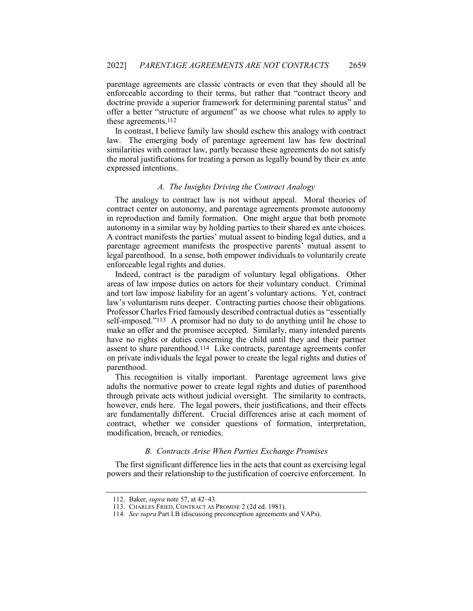parentage agreements are classic contracts or even that they should all be enforceable according to their terms, but rather that "contract theory and doctrine provide a superior framework for determining parental status" and offer a better "structure of argument" as we choose what rules to apply to these agreements.112

In contrast, I believe family law should eschew this analogy with contract law. The emerging body of parentage agreement law has few doctrinal similarities with contract law, partly because these agreements do not satisfy the moral justifications for treating a person as legally bound by their ex ante expressed intentions.

### *A. The Insights Driving the Contract Analogy*

The analogy to contract law is not without appeal. Moral theories of contract center on autonomy, and parentage agreements promote autonomy in reproduction and family formation. One might argue that both promote autonomy in a similar way by holding parties to their shared ex ante choices. A contract manifests the parties' mutual assent to binding legal duties, and a parentage agreement manifests the prospective parents' mutual assent to legal parenthood. In a sense, both empower individuals to voluntarily create enforceable legal rights and duties.

Indeed, contract is the paradigm of voluntary legal obligations. Other areas of law impose duties on actors for their voluntary conduct. Criminal and tort law impose liability for an agent's voluntary actions. Yet, contract law's voluntarism runs deeper. Contracting parties choose their obligations. Professor Charles Fried famously described contractual duties as "essentially self-imposed."113 A promisor had no duty to do anything until he chose to make an offer and the promisee accepted. Similarly, many intended parents have no rights or duties concerning the child until they and their partner assent to share parenthood.114 Like contracts, parentage agreements confer on private individuals the legal power to create the legal rights and duties of parenthood.

This recognition is vitally important. Parentage agreement laws give adults the normative power to create legal rights and duties of parenthood through private acts without judicial oversight. The similarity to contracts, however, ends here. The legal powers, their justifications, and their effects are fundamentally different. Crucial differences arise at each moment of contract, whether we consider questions of formation, interpretation, modification, breach, or remedies.

#### *B. Contracts Arise When Parties Exchange Promises*

The first significant difference lies in the acts that count as exercising legal powers and their relationship to the justification of coercive enforcement. In

<sup>112.</sup> Baker, *supra* note 57, at 42–43.

<sup>113.</sup> CHARLES FRIED, CONTRACT AS PROMISE 2 (2d ed. 1981).

<sup>114</sup>*. See supra* Part I.B (discussing preconception agreements and VAPs).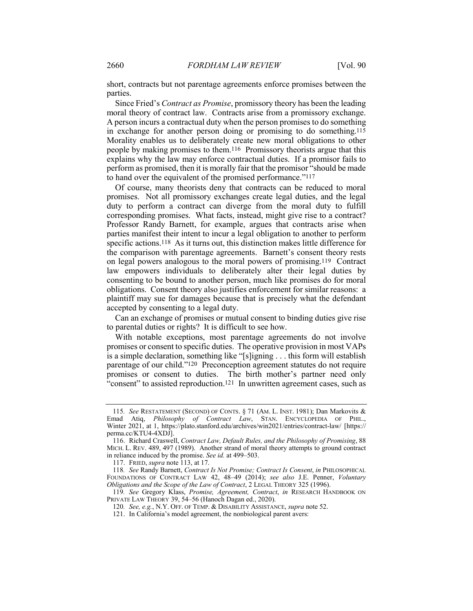short, contracts but not parentage agreements enforce promises between the parties.

Since Fried's *Contract as Promise*, promissory theory has been the leading moral theory of contract law. Contracts arise from a promissory exchange. A person incurs a contractual duty when the person promises to do something in exchange for another person doing or promising to do something.115 Morality enables us to deliberately create new moral obligations to other people by making promises to them.116 Promissory theorists argue that this explains why the law may enforce contractual duties. If a promisor fails to perform as promised, then it is morally fair that the promisor "should be made to hand over the equivalent of the promised performance."117

Of course, many theorists deny that contracts can be reduced to moral promises. Not all promissory exchanges create legal duties, and the legal duty to perform a contract can diverge from the moral duty to fulfill corresponding promises. What facts, instead, might give rise to a contract? Professor Randy Barnett, for example, argues that contracts arise when parties manifest their intent to incur a legal obligation to another to perform specific actions.118 As it turns out, this distinction makes little difference for the comparison with parentage agreements. Barnett's consent theory rests on legal powers analogous to the moral powers of promising.119 Contract law empowers individuals to deliberately alter their legal duties by consenting to be bound to another person, much like promises do for moral obligations. Consent theory also justifies enforcement for similar reasons: a plaintiff may sue for damages because that is precisely what the defendant accepted by consenting to a legal duty.

Can an exchange of promises or mutual consent to binding duties give rise to parental duties or rights? It is difficult to see how.

With notable exceptions, most parentage agreements do not involve promises or consent to specific duties. The operative provision in most VAPs is a simple declaration, something like "[s]igning . . . this form will establish parentage of our child."120 Preconception agreement statutes do not require promises or consent to duties. The birth mother's partner need only "consent" to assisted reproduction.121 In unwritten agreement cases, such as

<sup>115</sup>*. See* RESTATEMENT (SECOND) OF CONTS. § 71 (AM. L. INST. 1981); Dan Markovits & Emad Atiq, *Philosophy of Contract Law*, STAN. ENCYCLOPEDIA OF PHIL., Winter 2021, at 1, https://plato.stanford.edu/archives/win2021/entries/contract-law/ [https:// perma.cc/KTU4-4XDJ].

<sup>116.</sup> Richard Craswell, *Contract Law, Default Rules, and the Philosophy of Promising*, 88 MICH. L. REV. 489, 497 (1989). Another strand of moral theory attempts to ground contract in reliance induced by the promise. *See id.* at 499–503.

<sup>117.</sup> FRIED, *supra* note 113, at 17.

<sup>118</sup>*. See* Randy Barnett, *Contract Is Not Promise; Contract Is Consent*, *in* PHILOSOPHICAL FOUNDATIONS OF CONTRACT LAW 42, 48–49 (2014); *see also* J.E. Penner, *Voluntary Obligations and the Scope of the Law of Contract*, 2 LEGAL THEORY 325 (1996).

<sup>119</sup>*. See* Gregory Klass, *Promise, Agreement, Contract*, *in* RESEARCH HANDBOOK ON PRIVATE LAW THEORY 39, 54–56 (Hanoch Dagan ed., 2020).

<sup>120</sup>*. See, e.g.*, N.Y. OFF. OF TEMP. & DISABILITY ASSISTANCE, *supra* note 52.

<sup>121.</sup> In California's model agreement, the nonbiological parent avers: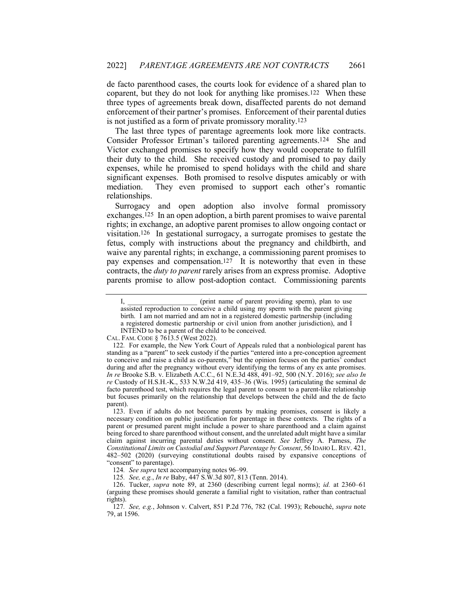de facto parenthood cases, the courts look for evidence of a shared plan to coparent, but they do not look for anything like promises.122 When these three types of agreements break down, disaffected parents do not demand enforcement of their partner's promises. Enforcement of their parental duties is not justified as a form of private promissory morality.123

The last three types of parentage agreements look more like contracts. Consider Professor Ertman's tailored parenting agreements.124 She and Victor exchanged promises to specify how they would cooperate to fulfill their duty to the child. She received custody and promised to pay daily expenses, while he promised to spend holidays with the child and share significant expenses. Both promised to resolve disputes amicably or with mediation. They even promised to support each other's romantic relationships.

Surrogacy and open adoption also involve formal promissory exchanges.125 In an open adoption, a birth parent promises to waive parental rights; in exchange, an adoptive parent promises to allow ongoing contact or visitation.126 In gestational surrogacy, a surrogate promises to gestate the fetus, comply with instructions about the pregnancy and childbirth, and waive any parental rights; in exchange, a commissioning parent promises to pay expenses and compensation.<sup>127</sup> It is noteworthy that even in these contracts, the *duty to parent* rarely arises from an express promise. Adoptive parents promise to allow post-adoption contact. Commissioning parents

I, comparison (print name of parent providing sperm), plan to use assisted reproduction to conceive a child using my sperm with the parent giving birth. I am not married and am not in a registered domestic partnership (including a registered domestic partnership or civil union from another jurisdiction), and I INTEND to be a parent of the child to be conceived.

CAL. FAM. CODE § 7613.5 (West 2022).

<sup>122</sup>*.* For example, the New York Court of Appeals ruled that a nonbiological parent has standing as a "parent" to seek custody if the parties "entered into a pre-conception agreement to conceive and raise a child as co-parents," but the opinion focuses on the parties' conduct during and after the pregnancy without every identifying the terms of any ex ante promises. *In re* Brooke S.B. v. Elizabeth A.C.C., 61 N.E.3d 488, 491–92, 500 (N.Y. 2016); *see also In re* Custody of H.S.H.-K., 533 N.W.2d 419, 435–36 (Wis. 1995) (articulating the seminal de facto parenthood test, which requires the legal parent to consent to a parent-like relationship but focuses primarily on the relationship that develops between the child and the de facto parent).

<sup>123.</sup> Even if adults do not become parents by making promises, consent is likely a necessary condition on public justification for parentage in these contexts. The rights of a parent or presumed parent might include a power to share parenthood and a claim against being forced to share parenthood without consent, and the unrelated adult might have a similar claim against incurring parental duties without consent. *See* Jeffrey A. Parness, *The Constitutional Limits on Custodial and Support Parentage by Consent*, 56 IDAHO L. REV. 421, 482–502 (2020) (surveying constitutional doubts raised by expansive conceptions of "consent" to parentage).

<sup>124</sup>*. See supra* text accompanying notes 96–99.

<sup>125</sup>*. See, e.g.*, *In re* Baby, 447 S.W.3d 807, 813 (Tenn. 2014).

<sup>126.</sup> Tucker, *supra* note 89, at 2360 (describing current legal norms); *id.* at 2360–61 (arguing these promises should generate a familial right to visitation, rather than contractual rights).

<sup>127</sup>*. See, e.g.*, Johnson v. Calvert, 851 P.2d 776, 782 (Cal. 1993); Rebouché, *supra* note 79, at 1596.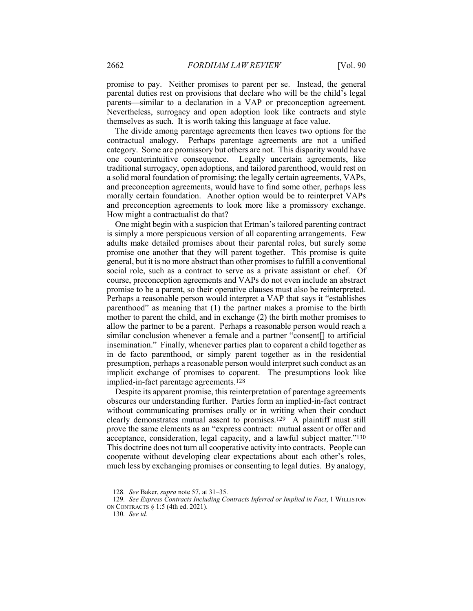promise to pay. Neither promises to parent per se. Instead, the general parental duties rest on provisions that declare who will be the child's legal parents—similar to a declaration in a VAP or preconception agreement. Nevertheless, surrogacy and open adoption look like contracts and style themselves as such. It is worth taking this language at face value.

The divide among parentage agreements then leaves two options for the contractual analogy. Perhaps parentage agreements are not a unified category. Some are promissory but others are not. This disparity would have one counterintuitive consequence. Legally uncertain agreements, like traditional surrogacy, open adoptions, and tailored parenthood, would rest on a solid moral foundation of promising; the legally certain agreements, VAPs, and preconception agreements, would have to find some other, perhaps less morally certain foundation. Another option would be to reinterpret VAPs and preconception agreements to look more like a promissory exchange. How might a contractualist do that?

One might begin with a suspicion that Ertman's tailored parenting contract is simply a more perspicuous version of all coparenting arrangements. Few adults make detailed promises about their parental roles, but surely some promise one another that they will parent together. This promise is quite general, but it is no more abstract than other promises to fulfill a conventional social role, such as a contract to serve as a private assistant or chef. Of course, preconception agreements and VAPs do not even include an abstract promise to be a parent, so their operative clauses must also be reinterpreted. Perhaps a reasonable person would interpret a VAP that says it "establishes parenthood" as meaning that (1) the partner makes a promise to the birth mother to parent the child, and in exchange (2) the birth mother promises to allow the partner to be a parent. Perhaps a reasonable person would reach a similar conclusion whenever a female and a partner "consent[] to artificial insemination." Finally, whenever parties plan to coparent a child together as in de facto parenthood, or simply parent together as in the residential presumption, perhaps a reasonable person would interpret such conduct as an implicit exchange of promises to coparent. The presumptions look like implied-in-fact parentage agreements.128

Despite its apparent promise, this reinterpretation of parentage agreements obscures our understanding further. Parties form an implied-in-fact contract without communicating promises orally or in writing when their conduct clearly demonstrates mutual assent to promises.129 A plaintiff must still prove the same elements as an "express contract: mutual assent or offer and acceptance, consideration, legal capacity, and a lawful subject matter."130 This doctrine does not turn all cooperative activity into contracts. People can cooperate without developing clear expectations about each other's roles, much less by exchanging promises or consenting to legal duties. By analogy,

<sup>128</sup>*. See* Baker, *supra* note 57, at 31–35.

<sup>129</sup>*. See Express Contracts Including Contracts Inferred or Implied in Fact*, 1 WILLISTON ON CONTRACTS § 1:5 (4th ed. 2021).

<sup>130</sup>*. See id.*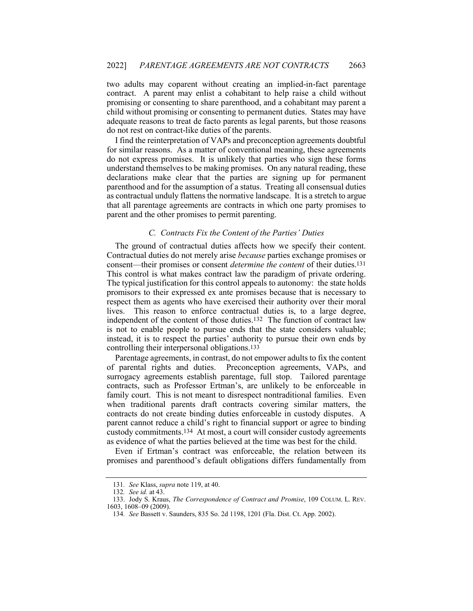two adults may coparent without creating an implied-in-fact parentage contract. A parent may enlist a cohabitant to help raise a child without promising or consenting to share parenthood, and a cohabitant may parent a child without promising or consenting to permanent duties. States may have adequate reasons to treat de facto parents as legal parents, but those reasons do not rest on contract-like duties of the parents.

I find the reinterpretation of VAPs and preconception agreements doubtful for similar reasons. As a matter of conventional meaning, these agreements do not express promises. It is unlikely that parties who sign these forms understand themselves to be making promises. On any natural reading, these declarations make clear that the parties are signing up for permanent parenthood and for the assumption of a status. Treating all consensual duties as contractual unduly flattens the normative landscape. It is a stretch to argue that all parentage agreements are contracts in which one party promises to parent and the other promises to permit parenting.

## *C. Contracts Fix the Content of the Parties' Duties*

The ground of contractual duties affects how we specify their content. Contractual duties do not merely arise *because* parties exchange promises or consent—their promises or consent *determine the content* of their duties.131 This control is what makes contract law the paradigm of private ordering. The typical justification for this control appeals to autonomy: the state holds promisors to their expressed ex ante promises because that is necessary to respect them as agents who have exercised their authority over their moral lives. This reason to enforce contractual duties is, to a large degree, independent of the content of those duties.132 The function of contract law is not to enable people to pursue ends that the state considers valuable; instead, it is to respect the parties' authority to pursue their own ends by controlling their interpersonal obligations.133

Parentage agreements, in contrast, do not empower adults to fix the content of parental rights and duties. Preconception agreements, VAPs, and surrogacy agreements establish parentage, full stop. Tailored parentage contracts, such as Professor Ertman's, are unlikely to be enforceable in family court. This is not meant to disrespect nontraditional families. Even when traditional parents draft contracts covering similar matters, the contracts do not create binding duties enforceable in custody disputes. A parent cannot reduce a child's right to financial support or agree to binding custody commitments.134 At most, a court will consider custody agreements as evidence of what the parties believed at the time was best for the child.

Even if Ertman's contract was enforceable, the relation between its promises and parenthood's default obligations differs fundamentally from

<sup>131</sup>*. See* Klass, *supra* note 119, at 40.

<sup>132</sup>*. See id.* at 43.

<sup>133.</sup> Jody S. Kraus, *The Correspondence of Contract and Promise*, 109 COLUM. L. REV. 1603, 1608–09 (2009).

<sup>134</sup>*. See* Bassett v. Saunders, 835 So. 2d 1198, 1201 (Fla. Dist. Ct. App. 2002).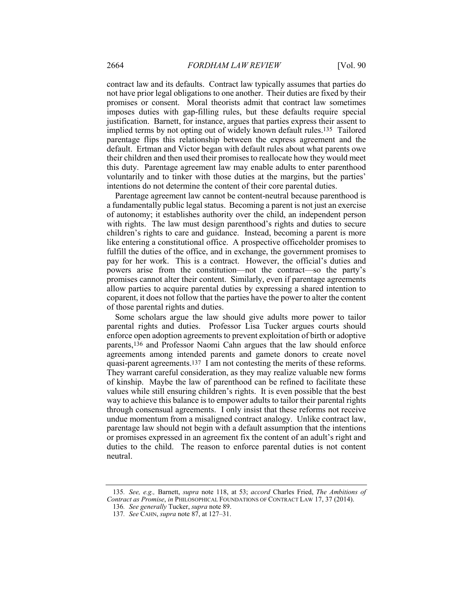contract law and its defaults. Contract law typically assumes that parties do not have prior legal obligations to one another. Their duties are fixed by their promises or consent. Moral theorists admit that contract law sometimes imposes duties with gap-filling rules, but these defaults require special justification. Barnett, for instance, argues that parties express their assent to implied terms by not opting out of widely known default rules.135 Tailored parentage flips this relationship between the express agreement and the default. Ertman and Victor began with default rules about what parents owe their children and then used their promises to reallocate how they would meet this duty. Parentage agreement law may enable adults to enter parenthood voluntarily and to tinker with those duties at the margins, but the parties' intentions do not determine the content of their core parental duties.

Parentage agreement law cannot be content-neutral because parenthood is a fundamentally public legal status. Becoming a parent is not just an exercise of autonomy; it establishes authority over the child, an independent person with rights. The law must design parenthood's rights and duties to secure children's rights to care and guidance. Instead, becoming a parent is more like entering a constitutional office. A prospective officeholder promises to fulfill the duties of the office, and in exchange, the government promises to pay for her work. This is a contract. However, the official's duties and powers arise from the constitution—not the contract—so the party's promises cannot alter their content. Similarly, even if parentage agreements allow parties to acquire parental duties by expressing a shared intention to coparent, it does not follow that the parties have the power to alter the content of those parental rights and duties.

Some scholars argue the law should give adults more power to tailor parental rights and duties. Professor Lisa Tucker argues courts should enforce open adoption agreements to prevent exploitation of birth or adoptive parents,136 and Professor Naomi Cahn argues that the law should enforce agreements among intended parents and gamete donors to create novel quasi-parent agreements.137 I am not contesting the merits of these reforms. They warrant careful consideration, as they may realize valuable new forms of kinship. Maybe the law of parenthood can be refined to facilitate these values while still ensuring children's rights. It is even possible that the best way to achieve this balance is to empower adults to tailor their parental rights through consensual agreements. I only insist that these reforms not receive undue momentum from a misaligned contract analogy. Unlike contract law, parentage law should not begin with a default assumption that the intentions or promises expressed in an agreement fix the content of an adult's right and duties to the child. The reason to enforce parental duties is not content neutral.

<sup>135</sup>*. See, e.g.,* Barnett, *supra* note 118, at 53; *accord* Charles Fried, *The Ambitions of Contract as Promise*, *in* PHILOSOPHICAL FOUNDATIONS OF CONTRACT LAW 17, 37 (2014).

<sup>136</sup>*. See generally* Tucker, *supra* note 89.

<sup>137</sup>*. See* CAHN, *supra* note 87, at 127–31.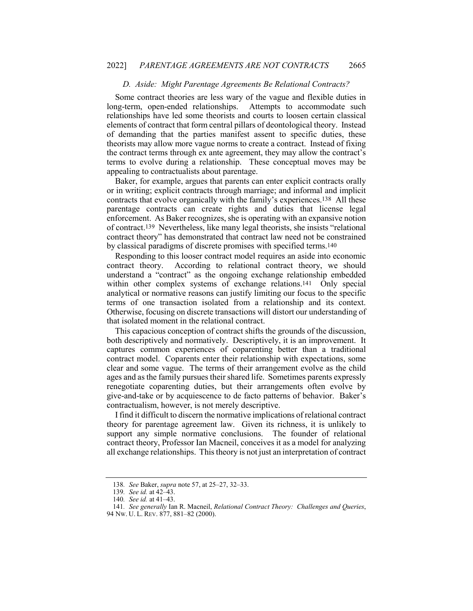#### *D. Aside: Might Parentage Agreements Be Relational Contracts?*

Some contract theories are less wary of the vague and flexible duties in long-term, open-ended relationships. Attempts to accommodate such relationships have led some theorists and courts to loosen certain classical elements of contract that form central pillars of deontological theory. Instead of demanding that the parties manifest assent to specific duties, these theorists may allow more vague norms to create a contract. Instead of fixing the contract terms through ex ante agreement, they may allow the contract's terms to evolve during a relationship. These conceptual moves may be appealing to contractualists about parentage.

Baker, for example, argues that parents can enter explicit contracts orally or in writing; explicit contracts through marriage; and informal and implicit contracts that evolve organically with the family's experiences.138 All these parentage contracts can create rights and duties that license legal enforcement. As Baker recognizes, she is operating with an expansive notion of contract.139 Nevertheless, like many legal theorists, she insists "relational contract theory" has demonstrated that contract law need not be constrained by classical paradigms of discrete promises with specified terms.140

Responding to this looser contract model requires an aside into economic contract theory. According to relational contract theory, we should understand a "contract" as the ongoing exchange relationship embedded within other complex systems of exchange relations.141 Only special analytical or normative reasons can justify limiting our focus to the specific terms of one transaction isolated from a relationship and its context. Otherwise, focusing on discrete transactions will distort our understanding of that isolated moment in the relational contract.

This capacious conception of contract shifts the grounds of the discussion, both descriptively and normatively. Descriptively, it is an improvement. It captures common experiences of coparenting better than a traditional contract model. Coparents enter their relationship with expectations, some clear and some vague. The terms of their arrangement evolve as the child ages and as the family pursues their shared life. Sometimes parents expressly renegotiate coparenting duties, but their arrangements often evolve by give-and-take or by acquiescence to de facto patterns of behavior. Baker's contractualism, however, is not merely descriptive.

I find it difficult to discern the normative implications of relational contract theory for parentage agreement law. Given its richness, it is unlikely to support any simple normative conclusions. The founder of relational contract theory, Professor Ian Macneil, conceives it as a model for analyzing all exchange relationships. This theory is not just an interpretation of contract

<sup>138</sup>*. See* Baker, *supra* note 57, at 25–27, 32–33.

<sup>139</sup>*. See id.* at 42–43.

<sup>140</sup>*. See id.* at 41–43.

<sup>141</sup>*. See generally* Ian R. Macneil, *Relational Contract Theory: Challenges and Queries*,

<sup>94</sup> NW. U. L. REV. 877, 881–82 (2000).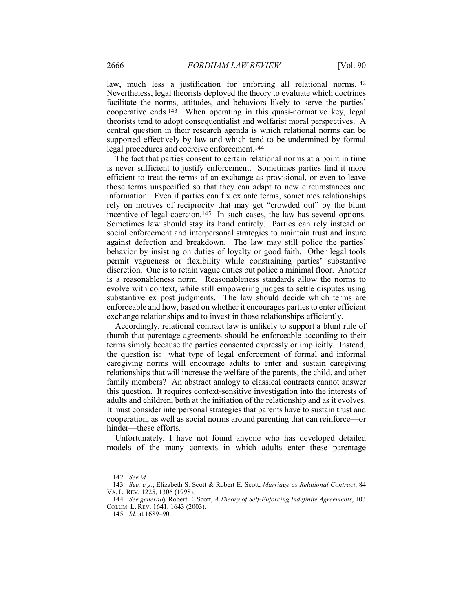law, much less a justification for enforcing all relational norms.142 Nevertheless, legal theorists deployed the theory to evaluate which doctrines facilitate the norms, attitudes, and behaviors likely to serve the parties' cooperative ends.143 When operating in this quasi-normative key, legal theorists tend to adopt consequentialist and welfarist moral perspectives. A central question in their research agenda is which relational norms can be supported effectively by law and which tend to be undermined by formal legal procedures and coercive enforcement.144

The fact that parties consent to certain relational norms at a point in time is never sufficient to justify enforcement. Sometimes parties find it more efficient to treat the terms of an exchange as provisional, or even to leave those terms unspecified so that they can adapt to new circumstances and information. Even if parties can fix ex ante terms, sometimes relationships rely on motives of reciprocity that may get "crowded out" by the blunt incentive of legal coercion.145 In such cases, the law has several options. Sometimes law should stay its hand entirely. Parties can rely instead on social enforcement and interpersonal strategies to maintain trust and insure against defection and breakdown. The law may still police the parties' behavior by insisting on duties of loyalty or good faith. Other legal tools permit vagueness or flexibility while constraining parties' substantive discretion. One is to retain vague duties but police a minimal floor. Another is a reasonableness norm. Reasonableness standards allow the norms to evolve with context, while still empowering judges to settle disputes using substantive ex post judgments. The law should decide which terms are enforceable and how, based on whether it encourages parties to enter efficient exchange relationships and to invest in those relationships efficiently.

Accordingly, relational contract law is unlikely to support a blunt rule of thumb that parentage agreements should be enforceable according to their terms simply because the parties consented expressly or implicitly. Instead, the question is: what type of legal enforcement of formal and informal caregiving norms will encourage adults to enter and sustain caregiving relationships that will increase the welfare of the parents, the child, and other family members? An abstract analogy to classical contracts cannot answer this question. It requires context-sensitive investigation into the interests of adults and children, both at the initiation of the relationship and as it evolves. It must consider interpersonal strategies that parents have to sustain trust and cooperation, as well as social norms around parenting that can reinforce—or hinder—these efforts.

Unfortunately, I have not found anyone who has developed detailed models of the many contexts in which adults enter these parentage

<sup>142</sup>*. See id.*

<sup>143</sup>*. See, e.g.*, Elizabeth S. Scott & Robert E. Scott, *Marriage as Relational Contract*, 84 VA. L. REV. 1225, 1306 (1998).

<sup>144</sup>*. See generally* Robert E. Scott, *A Theory of Self-Enforcing Indefinite Agreements*, 103 COLUM. L. REV. 1641, 1643 (2003).

<sup>145</sup>*. Id.* at 1689–90.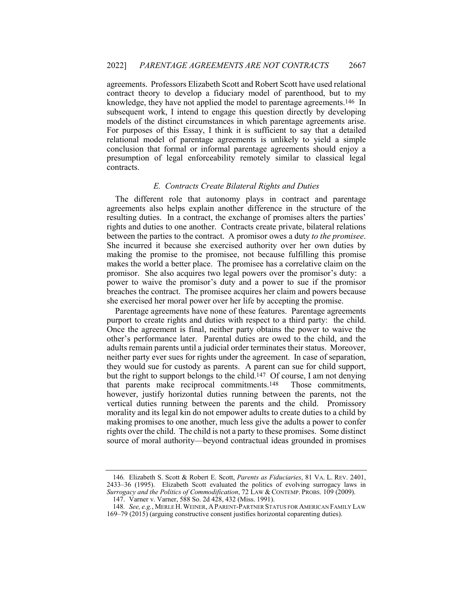agreements. Professors Elizabeth Scott and Robert Scott have used relational contract theory to develop a fiduciary model of parenthood, but to my knowledge, they have not applied the model to parentage agreements.146 In subsequent work, I intend to engage this question directly by developing models of the distinct circumstances in which parentage agreements arise. For purposes of this Essay, I think it is sufficient to say that a detailed relational model of parentage agreements is unlikely to yield a simple conclusion that formal or informal parentage agreements should enjoy a presumption of legal enforceability remotely similar to classical legal contracts.

### *E. Contracts Create Bilateral Rights and Duties*

The different role that autonomy plays in contract and parentage agreements also helps explain another difference in the structure of the resulting duties. In a contract, the exchange of promises alters the parties' rights and duties to one another. Contracts create private, bilateral relations between the parties to the contract. A promisor owes a duty *to the promisee*. She incurred it because she exercised authority over her own duties by making the promise to the promisee, not because fulfilling this promise makes the world a better place. The promisee has a correlative claim on the promisor. She also acquires two legal powers over the promisor's duty: a power to waive the promisor's duty and a power to sue if the promisor breaches the contract. The promisee acquires her claim and powers because she exercised her moral power over her life by accepting the promise.

Parentage agreements have none of these features. Parentage agreements purport to create rights and duties with respect to a third party: the child. Once the agreement is final, neither party obtains the power to waive the other's performance later. Parental duties are owed to the child, and the adults remain parents until a judicial order terminates their status. Moreover, neither party ever sues for rights under the agreement. In case of separation, they would sue for custody as parents. A parent can sue for child support, but the right to support belongs to the child.147 Of course, I am not denying that parents make reciprocal commitments.148 Those commitments, however, justify horizontal duties running between the parents, not the vertical duties running between the parents and the child. Promissory morality and its legal kin do not empower adults to create duties to a child by making promises to one another, much less give the adults a power to confer rights over the child. The child is not a party to these promises. Some distinct source of moral authority—beyond contractual ideas grounded in promises

<sup>146</sup>*.* Elizabeth S. Scott & Robert E. Scott, *Parents as Fiduciaries*, 81 VA. L. REV. 2401, 2433–36 (1995). Elizabeth Scott evaluated the politics of evolving surrogacy laws in *Surrogacy and the Politics of Commodification*, 72 LAW & CONTEMP. PROBS. 109 (2009).

<sup>147.</sup> Varner v. Varner, 588 So. 2d 428, 432 (Miss. 1991).

<sup>148</sup>*. See, e.g.*, MERLE H.WEINER, APARENT-PARTNER STATUS FOR AMERICAN FAMILY LAW 169–79 (2015) (arguing constructive consent justifies horizontal coparenting duties).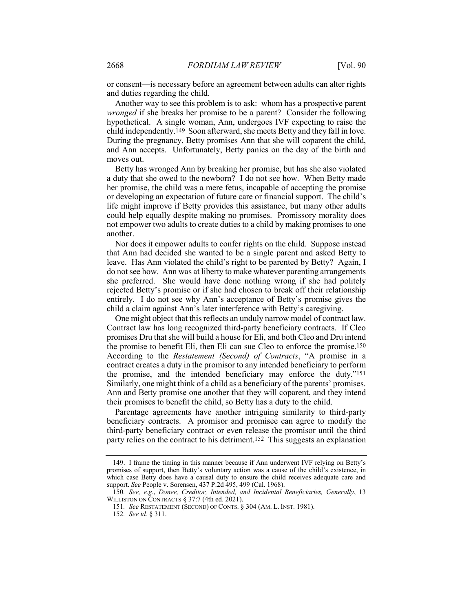or consent—is necessary before an agreement between adults can alter rights and duties regarding the child.

Another way to see this problem is to ask: whom has a prospective parent *wronged* if she breaks her promise to be a parent? Consider the following hypothetical. A single woman, Ann, undergoes IVF expecting to raise the child independently.149 Soon afterward, she meets Betty and they fall in love. During the pregnancy, Betty promises Ann that she will coparent the child, and Ann accepts. Unfortunately, Betty panics on the day of the birth and moves out.

Betty has wronged Ann by breaking her promise, but has she also violated a duty that she owed to the newborn? I do not see how. When Betty made her promise, the child was a mere fetus, incapable of accepting the promise or developing an expectation of future care or financial support. The child's life might improve if Betty provides this assistance, but many other adults could help equally despite making no promises. Promissory morality does not empower two adults to create duties to a child by making promises to one another.

Nor does it empower adults to confer rights on the child. Suppose instead that Ann had decided she wanted to be a single parent and asked Betty to leave. Has Ann violated the child's right to be parented by Betty? Again, I do not see how. Ann was at liberty to make whatever parenting arrangements she preferred. She would have done nothing wrong if she had politely rejected Betty's promise or if she had chosen to break off their relationship entirely. I do not see why Ann's acceptance of Betty's promise gives the child a claim against Ann's later interference with Betty's caregiving.

One might object that this reflects an unduly narrow model of contract law. Contract law has long recognized third-party beneficiary contracts. If Cleo promises Dru that she will build a house for Eli, and both Cleo and Dru intend the promise to benefit Eli, then Eli can sue Cleo to enforce the promise.150 According to the *Restatement (Second) of Contracts*, "A promise in a contract creates a duty in the promisor to any intended beneficiary to perform the promise, and the intended beneficiary may enforce the duty."151 Similarly, one might think of a child as a beneficiary of the parents' promises. Ann and Betty promise one another that they will coparent, and they intend their promises to benefit the child, so Betty has a duty to the child.

Parentage agreements have another intriguing similarity to third-party beneficiary contracts. A promisor and promisee can agree to modify the third-party beneficiary contract or even release the promisor until the third party relies on the contract to his detriment.152 This suggests an explanation

<sup>149.</sup> I frame the timing in this manner because if Ann underwent IVF relying on Betty's promises of support, then Betty's voluntary action was a cause of the child's existence, in which case Betty does have a causal duty to ensure the child receives adequate care and support. *See* People v. Sorensen, 437 P.2d 495, 499 (Cal. 1968).

<sup>150</sup>*. See, e.g.*, *Donee, Creditor, Intended, and Incidental Beneficiaries, Generally*, 13 WILLISTON ON CONTRACTS § 37:7 (4th ed. 2021).

<sup>151</sup>*. See* RESTATEMENT (SECOND) OF CONTS. § 304 (AM. L. INST. 1981).

<sup>152</sup>*. See id.* § 311.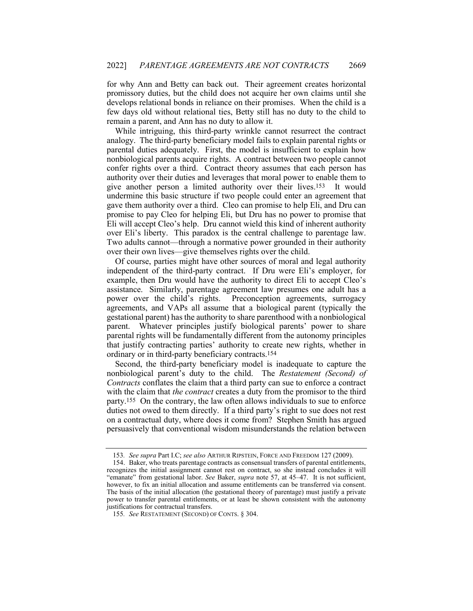for why Ann and Betty can back out. Their agreement creates horizontal promissory duties, but the child does not acquire her own claims until she develops relational bonds in reliance on their promises. When the child is a few days old without relational ties, Betty still has no duty to the child to remain a parent, and Ann has no duty to allow it.

While intriguing, this third-party wrinkle cannot resurrect the contract analogy. The third-party beneficiary model fails to explain parental rights or parental duties adequately. First, the model is insufficient to explain how nonbiological parents acquire rights. A contract between two people cannot confer rights over a third. Contract theory assumes that each person has authority over their duties and leverages that moral power to enable them to give another person a limited authority over their lives.153 It would undermine this basic structure if two people could enter an agreement that gave them authority over a third. Cleo can promise to help Eli, and Dru can promise to pay Cleo for helping Eli, but Dru has no power to promise that Eli will accept Cleo's help. Dru cannot wield this kind of inherent authority over Eli's liberty. This paradox is the central challenge to parentage law. Two adults cannot—through a normative power grounded in their authority over their own lives—give themselves rights over the child.

Of course, parties might have other sources of moral and legal authority independent of the third-party contract. If Dru were Eli's employer, for example, then Dru would have the authority to direct Eli to accept Cleo's assistance. Similarly, parentage agreement law presumes one adult has a power over the child's rights. Preconception agreements, surrogacy agreements, and VAPs all assume that a biological parent (typically the gestational parent) has the authority to share parenthood with a nonbiological parent. Whatever principles justify biological parents' power to share parental rights will be fundamentally different from the autonomy principles that justify contracting parties' authority to create new rights, whether in ordinary or in third-party beneficiary contracts.154

Second, the third-party beneficiary model is inadequate to capture the nonbiological parent's duty to the child. The *Restatement (Second) of Contracts* conflates the claim that a third party can sue to enforce a contract with the claim that *the contract* creates a duty from the promisor to the third party.155 On the contrary, the law often allows individuals to sue to enforce duties not owed to them directly. If a third party's right to sue does not rest on a contractual duty, where does it come from? Stephen Smith has argued persuasively that conventional wisdom misunderstands the relation between

<sup>153</sup>*. See supra* Part I.C; *see also* ARTHUR RIPSTEIN, FORCE AND FREEDOM 127 (2009).

<sup>154.</sup> Baker, who treats parentage contracts as consensual transfers of parental entitlements, recognizes the initial assignment cannot rest on contract, so she instead concludes it will "emanate" from gestational labor. *See* Baker, *supra* note 57, at 45–47. It is not sufficient, however, to fix an initial allocation and assume entitlements can be transferred via consent. The basis of the initial allocation (the gestational theory of parentage) must justify a private power to transfer parental entitlements, or at least be shown consistent with the autonomy justifications for contractual transfers.

<sup>155</sup>*. See* RESTATEMENT (SECOND) OF CONTS. § 304.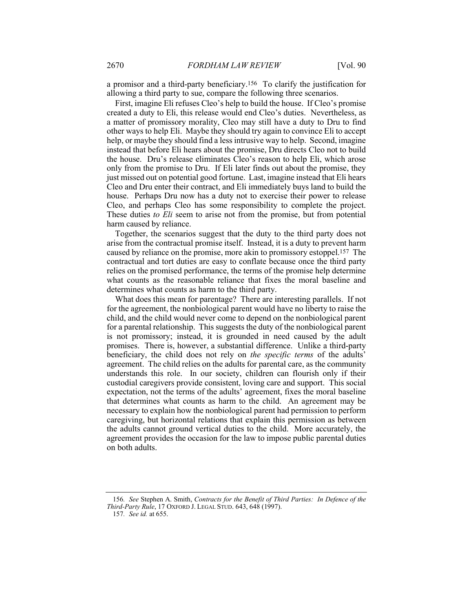a promisor and a third-party beneficiary.156 To clarify the justification for allowing a third party to sue, compare the following three scenarios.

First, imagine Eli refuses Cleo's help to build the house. If Cleo's promise created a duty to Eli, this release would end Cleo's duties. Nevertheless, as a matter of promissory morality, Cleo may still have a duty to Dru to find other ways to help Eli. Maybe they should try again to convince Eli to accept help, or maybe they should find a less intrusive way to help. Second, imagine instead that before Eli hears about the promise, Dru directs Cleo not to build the house. Dru's release eliminates Cleo's reason to help Eli, which arose only from the promise to Dru. If Eli later finds out about the promise, they just missed out on potential good fortune. Last, imagine instead that Eli hears Cleo and Dru enter their contract, and Eli immediately buys land to build the house. Perhaps Dru now has a duty not to exercise their power to release Cleo, and perhaps Cleo has some responsibility to complete the project. These duties *to Eli* seem to arise not from the promise, but from potential harm caused by reliance.

Together, the scenarios suggest that the duty to the third party does not arise from the contractual promise itself. Instead, it is a duty to prevent harm caused by reliance on the promise, more akin to promissory estoppel.157 The contractual and tort duties are easy to conflate because once the third party relies on the promised performance, the terms of the promise help determine what counts as the reasonable reliance that fixes the moral baseline and determines what counts as harm to the third party.

What does this mean for parentage? There are interesting parallels. If not for the agreement, the nonbiological parent would have no liberty to raise the child, and the child would never come to depend on the nonbiological parent for a parental relationship. This suggests the duty of the nonbiological parent is not promissory; instead, it is grounded in need caused by the adult promises. There is, however, a substantial difference. Unlike a third-party beneficiary, the child does not rely on *the specific terms* of the adults' agreement. The child relies on the adults for parental care, as the community understands this role. In our society, children can flourish only if their custodial caregivers provide consistent, loving care and support. This social expectation, not the terms of the adults' agreement, fixes the moral baseline that determines what counts as harm to the child. An agreement may be necessary to explain how the nonbiological parent had permission to perform caregiving, but horizontal relations that explain this permission as between the adults cannot ground vertical duties to the child. More accurately, the agreement provides the occasion for the law to impose public parental duties on both adults.

157*. See id.* at 655.

<sup>156</sup>*. See* Stephen A. Smith, *Contracts for the Benefit of Third Parties: In Defence of the Third-Party Rule*, 17 OXFORD J. LEGAL STUD. 643, 648 (1997).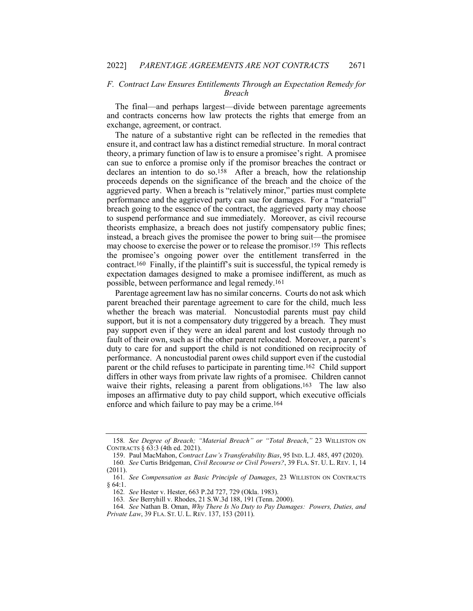# *F. Contract Law Ensures Entitlements Through an Expectation Remedy for Breach*

The final—and perhaps largest—divide between parentage agreements and contracts concerns how law protects the rights that emerge from an exchange, agreement, or contract.

The nature of a substantive right can be reflected in the remedies that ensure it, and contract law has a distinct remedial structure. In moral contract theory, a primary function of law is to ensure a promisee's right. A promisee can sue to enforce a promise only if the promisor breaches the contract or declares an intention to do so.158 After a breach, how the relationship proceeds depends on the significance of the breach and the choice of the aggrieved party. When a breach is "relatively minor," parties must complete performance and the aggrieved party can sue for damages. For a "material" breach going to the essence of the contract, the aggrieved party may choose to suspend performance and sue immediately. Moreover, as civil recourse theorists emphasize, a breach does not justify compensatory public fines; instead, a breach gives the promisee the power to bring suit—the promisee may choose to exercise the power or to release the promisor.159 This reflects the promisee's ongoing power over the entitlement transferred in the contract.160 Finally, if the plaintiff's suit is successful, the typical remedy is expectation damages designed to make a promisee indifferent, as much as possible, between performance and legal remedy.161

Parentage agreement law has no similar concerns. Courts do not ask which parent breached their parentage agreement to care for the child, much less whether the breach was material. Noncustodial parents must pay child support, but it is not a compensatory duty triggered by a breach. They must pay support even if they were an ideal parent and lost custody through no fault of their own, such as if the other parent relocated. Moreover, a parent's duty to care for and support the child is not conditioned on reciprocity of performance. A noncustodial parent owes child support even if the custodial parent or the child refuses to participate in parenting time.162 Child support differs in other ways from private law rights of a promisee. Children cannot waive their rights, releasing a parent from obligations.<sup>163</sup> The law also imposes an affirmative duty to pay child support, which executive officials enforce and which failure to pay may be a crime.164

163*. See* Berryhill v. Rhodes, 21 S.W.3d 188, 191 (Tenn. 2000).

<sup>158</sup>*. See Degree of Breach; "Material Breach" or "Total Breach*,*"* 23 WILLISTON ON CONTRACTS § 63:3 (4th ed. 2021).

<sup>159.</sup> Paul MacMahon, *Contract Law's Transferability Bias*, 95 IND. L.J. 485, 497 (2020). 160*. See* Curtis Bridgeman, *Civil Recourse or Civil Powers?*, 39 FLA. ST. U. L. REV. 1, 14

<sup>(2011).</sup>

<sup>161</sup>*. See Compensation as Basic Principle of Damages*, 23 WILLISTON ON CONTRACTS § 64:1.

<sup>162</sup>*. See* Hester v. Hester, 663 P.2d 727, 729 (Okla. 1983).

<sup>164</sup>*. See* Nathan B. Oman, *Why There Is No Duty to Pay Damages: Powers, Duties, and Private Law*, 39 FLA. ST. U. L. REV. 137, 153 (2011).